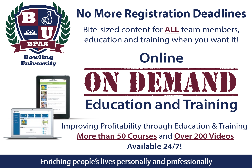

**Bowling University** 



## **No More Registration Deadlines**

Bite-sized content for **ALL** team members, education and training when you want it!

# **Online** ON DEMAND **Education and Training**

Improving Profitability through Education & Training **More than 50 Courses** and **Over 200 Videos Available 24/7!**

### Enriching people's lives personally and professionally